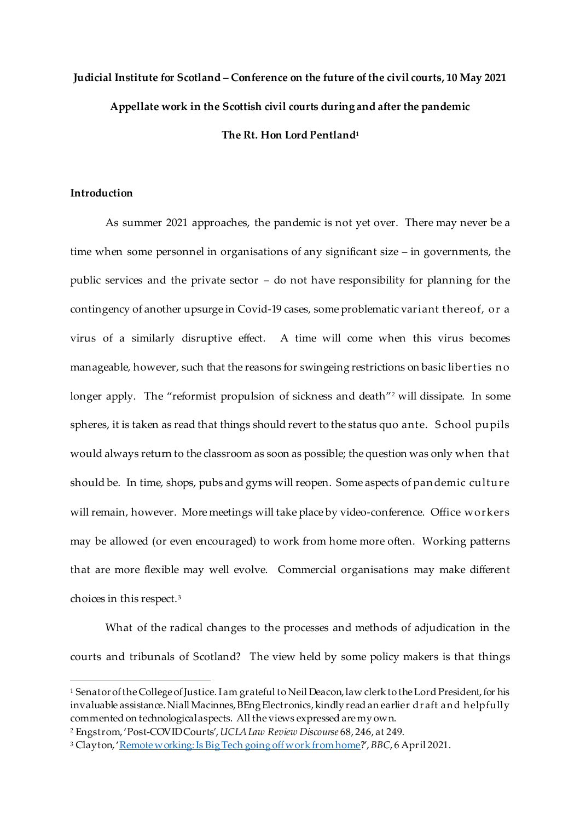# **Judicial Institute for Scotland – Conference on the future of the civil courts, 10 May 2021 Appellate work in the Scottish civil courts during and after the pandemic The Rt. Hon Lord Pentland<sup>1</sup>**

# **Introduction**

 $\overline{a}$ 

As summer 2021 approaches, the pandemic is not yet over. There may never be a time when some personnel in organisations of any significant size – in governments, the public services and the private sector – do not have responsibility for planning for the contingency of another upsurge in Covid-19 cases, some problematic variant thereof, or a virus of a similarly disruptive effect. A time will come when this virus becomes manageable, however, such that the reasons for swingeing restrictions on basic liberties n o longer apply. The "reformist propulsion of sickness and death"<sup>2</sup> will dissipate. In some spheres, it is taken as read that things should revert to the status quo ante. S chool pupils would always return to the classroom as soon as possible; the question was only when that should be. In time, shops, pubs and gyms will reopen. Some aspects of pan demic culture will remain, however. More meetings will take place by video-conference. Office workers may be allowed (or even encouraged) to work from home more often. Working patterns that are more flexible may well evolve. Commercial organisations may make different choices in this respect.<sup>3</sup>

What of the radical changes to the processes and methods of adjudication in the courts and tribunals of Scotland? The view held by some policy makers is that things

<sup>1</sup> Senator of the College of Justice. I am grateful to Neil Deacon, law clerk to the Lord President, for his invaluable assistance. Niall Macinnes, BEng Electronics, kindly read an earlier dr aft and helpfully commented on technological aspects. All the views expressed are my own.

<sup>2</sup> Engstrom, 'Post-COVID Courts', *UCLA Law Review Discourse* 68, 246, at 249.

<sup>3</sup> Clayton, '[Remote working: Is Big Tech going off work from home](https://www.bbc.co.uk/news/technology-56614285)?', *BBC*, 6 April 2021.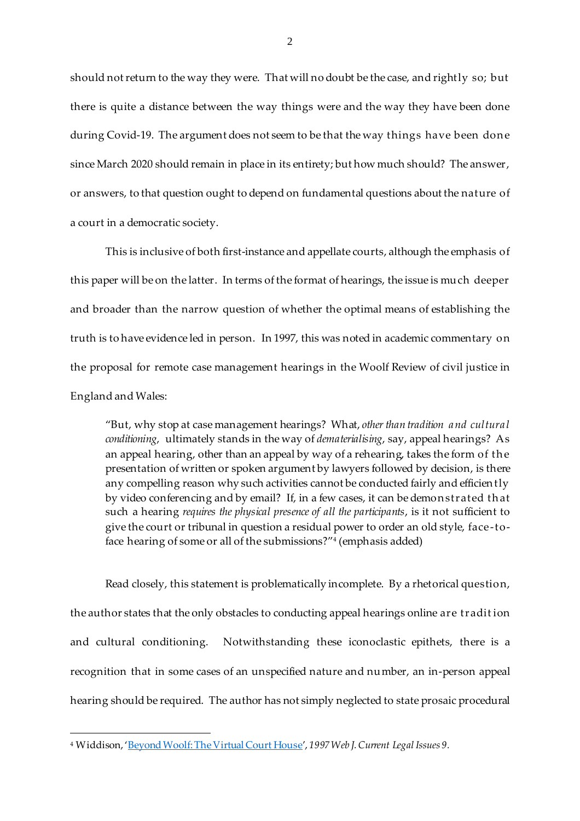should not return to the way they were. That will no doubt be the case, and rightly so; but there is quite a distance between the way things were and the way they have been done during Covid-19. The argument does not seem to be that the way things have been don e since March 2020 should remain in place in its entirety; but how much should? The answer, or answers, to that question ought to depend on fundamental questions about the nature of a court in a democratic society.

This is inclusive of both first-instance and appellate courts, although the emphasis of this paper will be on the latter. In terms of the format of hearings, the issue is much deeper and broader than the narrow question of whether the optimal means of establishing the truth is to have evidence led in person. In 1997, this was noted in academic commentary on the proposal for remote case management hearings in the Woolf Review of civil justice in England and Wales:

"But, why stop at case management hearings? What, *other than tradition a nd cultura l conditioning*, ultimately stands in the way of *dematerialising*, say, appeal hearings? As an appeal hearing, other than an appeal by way of a rehearing, takes the form of the presentation of written or spoken argument by lawyers followed by decision, is there any compelling reason why such activities cannot be conducted fairly and efficien tly by video conferencing and by email? If, in a few cases, it can be demon strated th at such a hearing *requires the physical presence of all the participants*, is it not sufficient to give the court or tribunal in question a residual power to order an old style, face-toface hearing of some or all of the submissions?" 4 (emphasis added)

Read closely, this statement is problematically incomplete. By a rhetorical question, the author states that the only obstacles to conducting appeal hearings online are tradit ion and cultural conditioning. Notwithstanding these iconoclastic epithets, there is a recognition that in some cases of an unspecified nature and number, an in-person appeal hearing should be required. The author has not simply neglected to state prosaic procedural

<sup>4</sup> Widdison, '[Beyond Woolf: The Virtual Court House](https://www.bileta.org.uk/wp-content/uploads/Beyond-Woolf-The-Virtual-Courthouse.pdf)', *1997 Web J. Current Legal Issues 9.*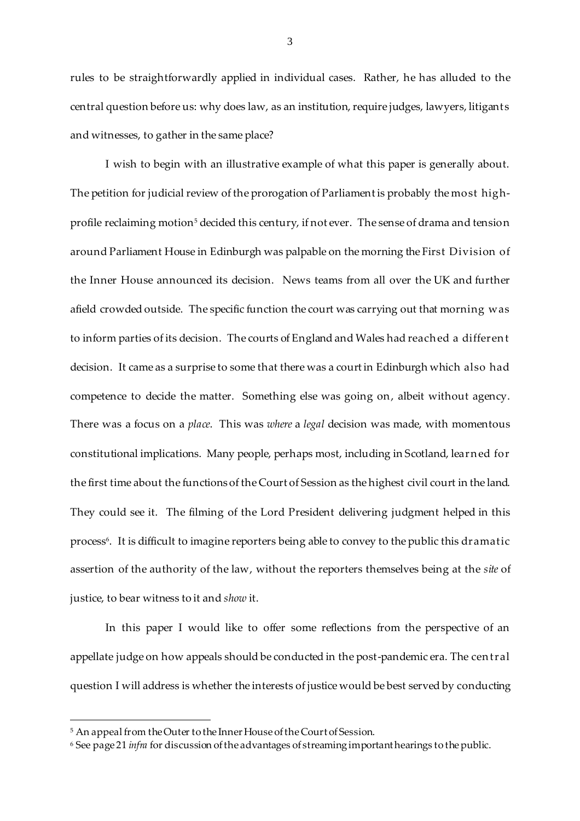rules to be straightforwardly applied in individual cases. Rather, he has alluded to the central question before us: why does law, as an institution, require judges, lawyers, litigants and witnesses, to gather in the same place?

I wish to begin with an illustrative example of what this paper is generally about. The petition for judicial review of the prorogation of Parliament is probably the most highprofile reclaiming motion<sup>5</sup> decided this century, if not ever. The sense of drama and tension around Parliament House in Edinburgh was palpable on the morning the First Division of the Inner House announced its decision. News teams from all over the UK and further afield crowded outside. The specific function the court was carrying out that morning was to inform parties of its decision. The courts of England and Wales had reach ed a differen t decision. It came as a surprise to some that there was a court in Edinburgh which also had competence to decide the matter. Something else was going on, albeit without agency. There was a focus on a *place*. This was *where* a *legal* decision was made, with momentous constitutional implications. Many people, perhaps most, including in Scotland, learn ed for the first time about the functions of the Court of Session as the highest civil court in the land. They could see it. The filming of the Lord President delivering judgment helped in this process<sup>6</sup>. It is difficult to imagine reporters being able to convey to the public this dramatic assertion of the authority of the law, without the reporters themselves being at the *site* of justice, to bear witness to it and *show* it.

In this paper I would like to offer some reflections from the perspective of an appellate judge on how appeals should be conducted in the post-pandemic era. The cen tral question I will address is whether the interests of justice would be best served by conducting

<sup>5</sup> An appeal from the Outer to the Inner House of the Court of Session.

<sup>6</sup> See page 21 *infra* for discussion of the advantages of streaming important hearings to the public.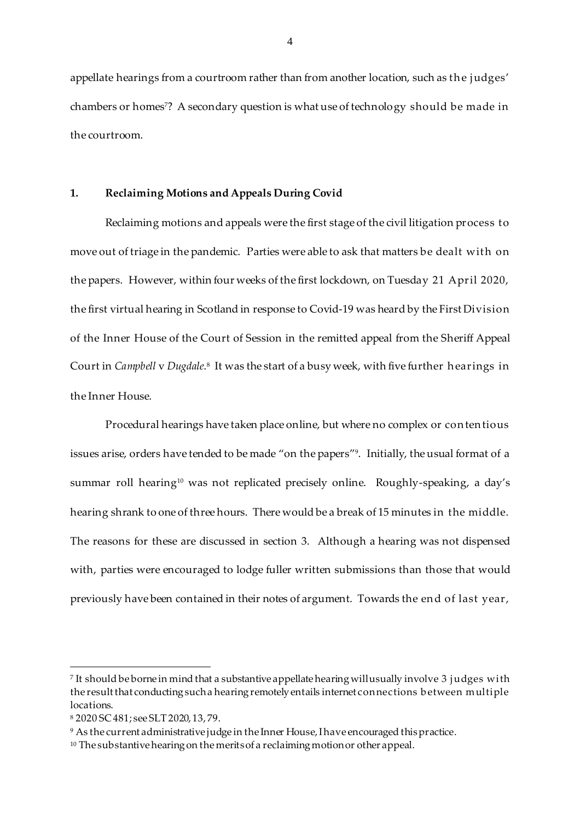appellate hearings from a courtroom rather than from another location, such as the judges' chambers or homes <sup>7</sup>? A secondary question is what use of technology should be made in the courtroom.

## **1. Reclaiming Motions and Appeals During Covid**

Reclaiming motions and appeals were the first stage of the civil litigation process to move out of triage in the pandemic. Parties were able to ask that matters be dealt with on the papers. However, within four weeks of the first lockdown, on Tuesday 21 April 2020, the first virtual hearing in Scotland in response to Covid-19 was heard by the First Division of the Inner House of the Court of Session in the remitted appeal from the Sheriff Appeal Court in *Campbell v Dugdale*.8 It was the start of a busy week, with five further hearings in the Inner House.

Procedural hearings have taken place online, but where no complex or con ten tious issues arise, orders have tended to be made "on the papers" 9 . Initially, the usual format of a summar roll hearing<sup>10</sup> was not replicated precisely online. Roughly-speaking, a day's hearing shrank to one of three hours. There would be a break of 15 minutes in the middle. The reasons for these are discussed in section 3. Although a hearing was not dispensed with, parties were encouraged to lodge fuller written submissions than those that would previously have been contained in their notes of argument. Towards the en d of last year,

l

<sup>7</sup> It should be borne in mind that a substantive appellate hearing will usually involve 3 j udges with the result that conducting such a hearing remotely entails internet connections b etween multiple locations.

<sup>8</sup> 2020 SC 481; see SLT 2020, 13, 79.

<sup>9</sup> As the current administrative judge in the Inner House, I have encouraged this practice.

<sup>&</sup>lt;sup>10</sup> The substantive hearing on the merits of a reclaiming motion or other appeal.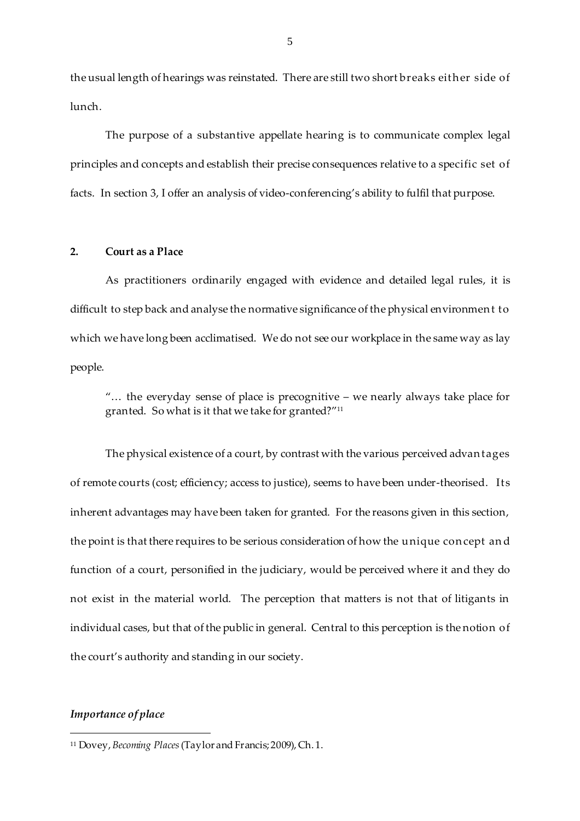the usual length of hearings was reinstated. There are still two short breaks either side of lunch.

The purpose of a substantive appellate hearing is to communicate complex legal principles and concepts and establish their precise consequences relative to a specific set of facts. In section 3, I offer an analysis of video-conferencing's ability to fulfil that purpose.

#### **2. Court as a Place**

As practitioners ordinarily engaged with evidence and detailed legal rules, it is difficult to step back and analyse the normative significance of the physical environmen t to which we have long been acclimatised. We do not see our workplace in the same way as lay people.

"… the everyday sense of place is precognitive – we nearly always take place for granted. So what is it that we take for granted?" 11

The physical existence of a court, by contrast with the various perceived advan tages of remote courts (cost; efficiency; access to justice), seems to have been under-theorised. Its inherent advantages may have been taken for granted. For the reasons given in this section, the point is that there requires to be serious consideration of how the unique con cept an d function of a court, personified in the judiciary, would be perceived where it and they do not exist in the material world. The perception that matters is not that of litigants in individual cases, but that of the public in general. Central to this perception is the notion of the court's authority and standing in our society.

#### *Importance of place*

<sup>11</sup> Dovey, *Becoming Places* (Taylor and Francis; 2009), Ch. 1.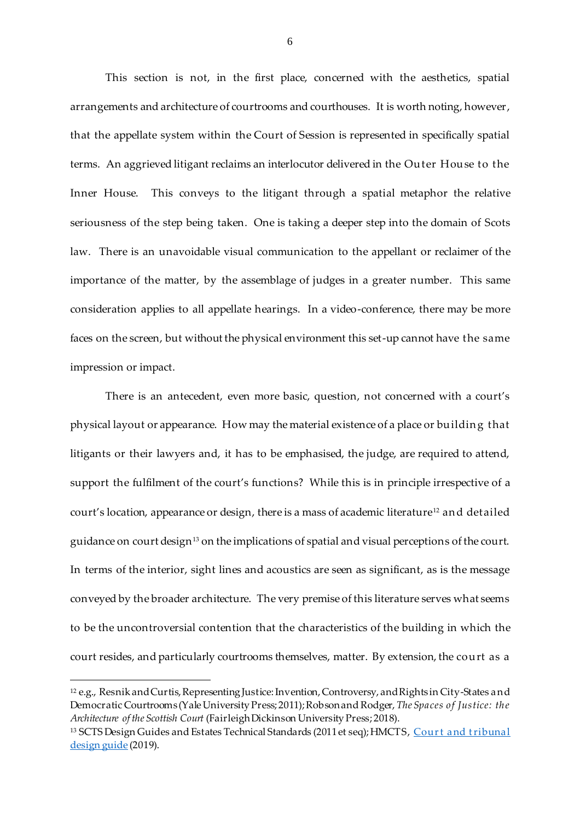This section is not, in the first place, concerned with the aesthetics, spatial arrangements and architecture of courtrooms and courthouses. It is worth noting, however, that the appellate system within the Court of Session is represented in specifically spatial terms. An aggrieved litigant reclaims an interlocutor delivered in the Outer House to the Inner House. This conveys to the litigant through a spatial metaphor the relative seriousness of the step being taken. One is taking a deeper step into the domain of Scots law. There is an unavoidable visual communication to the appellant or reclaimer of the importance of the matter, by the assemblage of judges in a greater number. This same consideration applies to all appellate hearings. In a video-conference, there may be more faces on the screen, but without the physical environment this set-up cannot have the same impression or impact.

There is an antecedent, even more basic, question, not concerned with a court's physical layout or appearance. How may the material existence of a place or buildin g that litigants or their lawyers and, it has to be emphasised, the judge, are required to attend, support the fulfilment of the court's functions? While this is in principle irrespective of a court's location, appearance or design, there is a mass of academic literature<sup>12</sup> and detailed guidance on court design<sup>13</sup> on the implications of spatial and visual perceptions of the court. In terms of the interior, sight lines and acoustics are seen as significant, as is the message conveyed by the broader architecture. The very premise of this literature serves what seems to be the uncontroversial contention that the characteristics of the building in which the court resides, and particularly courtrooms themselves, matter. By extension, the court as a

<sup>12</sup> e.g., Resnik and Curtis, Representing Justice: Invention, Controversy, and Rights in City-States and Democratic Courtrooms (Yale University Press; 2011); Robson and Rodger, *The Spaces of Justice: the Architecture of the Scottish Court* (FairleighDickinson University Press; 2018).

<sup>13</sup> SCTS Design Guides and Estates Technical Standards (2011 et seq); HMCTS, Court and tribunal [design guide](https://www.gov.uk/government/publications/court-and-tribunal-design-guide) (2019).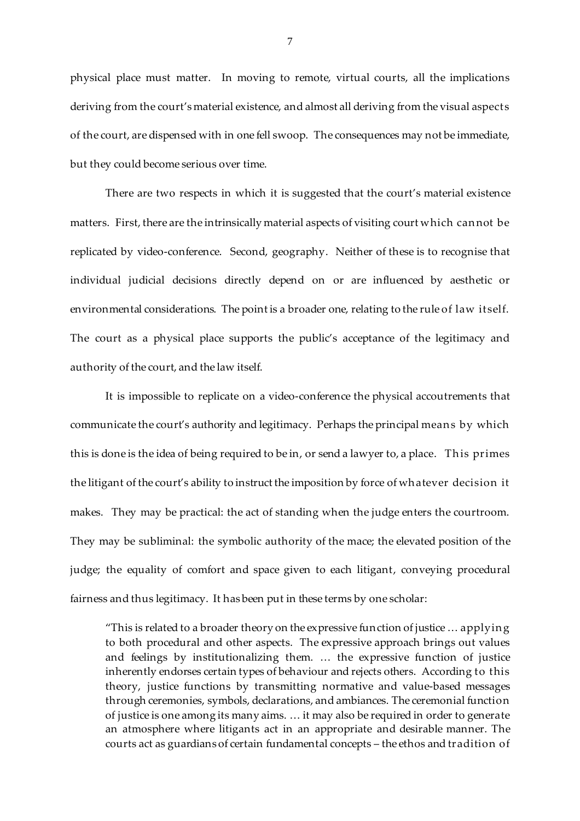physical place must matter. In moving to remote, virtual courts, all the implications deriving from the court's material existence, and almost all deriving from the visual aspects of the court, are dispensed with in one fell swoop. The consequences may not be immediate, but they could become serious over time.

There are two respects in which it is suggested that the court's material existence matters. First, there are the intrinsically material aspects of visiting court which can not be replicated by video-conference. Second, geography. Neither of these is to recognise that individual judicial decisions directly depend on or are influenced by aesthetic or environmental considerations. The point is a broader one, relating to the rule of law itself. The court as a physical place supports the public's acceptance of the legitimacy and authority of the court, and the law itself.

It is impossible to replicate on a video-conference the physical accoutrements that communicate the court's authority and legitimacy. Perhaps the principal mean s by which this is done is the idea of being required to be in, or send a lawyer to, a place. This primes the litigant of the court's ability to instruct the imposition by force of wh atever decision it makes. They may be practical: the act of standing when the judge enters the courtroom. They may be subliminal: the symbolic authority of the mace; the elevated position of the judge; the equality of comfort and space given to each litigant, conveying procedural fairness and thus legitimacy. It has been put in these terms by one scholar:

"This is related to a broader theory on the expressive function of justice… applyin g to both procedural and other aspects. The expressive approach brings out values and feelings by institutionalizing them. … the expressive function of justice inherently endorses certain types of behaviour and rejects others. According to this theory, justice functions by transmitting normative and value-based messages through ceremonies, symbols, declarations, and ambiances. The ceremonial function of justice is one among its many aims. … it may also be required in order to generate an atmosphere where litigants act in an appropriate and desirable manner. The courts act as guardians of certain fundamental concepts – the ethos and tradition of

7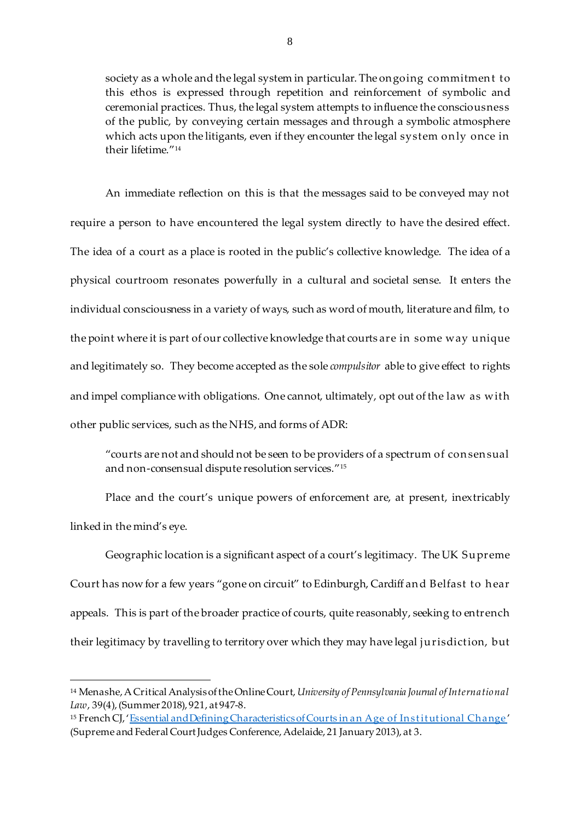society as a whole and the legal system in particular. The on going commitmen t to this ethos is expressed through repetition and reinforcement of symbolic and ceremonial practices. Thus, the legal system attempts to influence the consciousness of the public, by conveying certain messages and through a symbolic atmosphere which acts upon the litigants, even if they encounter the legal system on ly once in their lifetime."<sup>14</sup>

An immediate reflection on this is that the messages said to be conveyed may not require a person to have encountered the legal system directly to have the desired effect. The idea of a court as a place is rooted in the public's collective knowledge. The idea of a physical courtroom resonates powerfully in a cultural and societal sense. It enters the individual consciousness in a variety of ways, such as word of mouth, literature and film, to the point where it is part of our collective knowledge that courts are in some way unique and legitimately so. They become accepted as the sole *compulsitor* able to give effect to rights and impel compliance with obligations. One cannot, ultimately, opt out of the law as with other public services, such as the NHS, and forms of ADR:

"courts are not and should not be seen to be providers of a spectrum of con sen sual and non-consensual dispute resolution services."<sup>15</sup>

Place and the court's unique powers of enforcement are, at present, inextricably linked in the mind's eye.

Geographic location is a significant aspect of a court's legitimacy. The UK Supreme Court has now for a few years "gone on circuit" to Edinburgh, Cardiff an d Belfast to h ear appeals. This is part of the broader practice of courts, quite reasonably, seeking to entrench their legitimacy by travelling to territory over which they may have legal jurisdiction, but

<sup>14</sup> Menashe, A Critical Analysis of the Online Court, *University of Pennsylvania Journal of International Law*, 39(4), (Summer 2018), 921, at 947-8.

<sup>&</sup>lt;sup>15</sup> French CJ, 'Essential and Defining Characteristics of Courts in an Age of Institutional Change' (Supreme and Federal Court Judges Conference, Adelaide, 21 January 2013), at 3.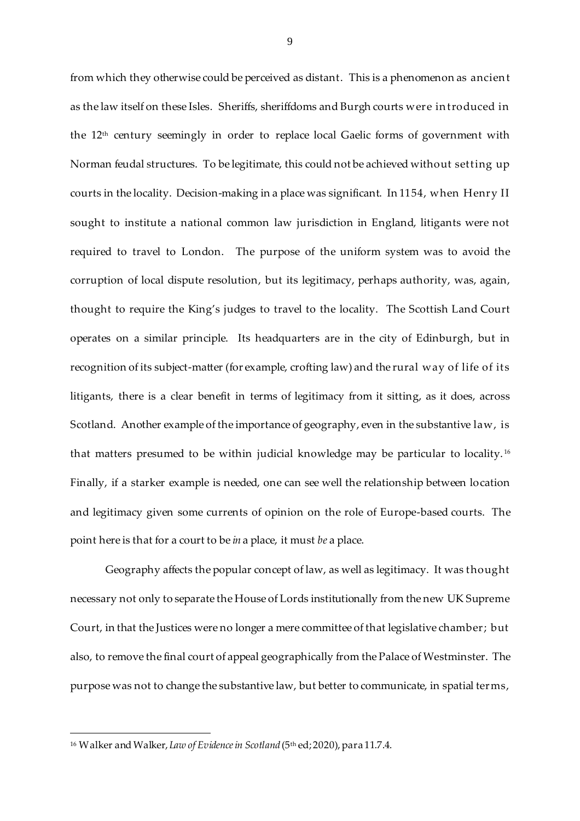from which they otherwise could be perceived as distant. This is a phenomenon as ancien t as the law itself on these Isles. Sheriffs, sheriffdoms and Burgh courts were in troduced in the 12th century seemingly in order to replace local Gaelic forms of government with Norman feudal structures. To be legitimate, this could not be achieved without setting up courts in the locality. Decision-making in a place was significant. In 1154, when Henry II sought to institute a national common law jurisdiction in England, litigants were not required to travel to London. The purpose of the uniform system was to avoid the corruption of local dispute resolution, but its legitimacy, perhaps authority, was, again, thought to require the King's judges to travel to the locality. The Scottish Land Court operates on a similar principle. Its headquarters are in the city of Edinburgh, but in recognition of its subject-matter (for example, crofting law) and the rural way of life of its litigants, there is a clear benefit in terms of legitimacy from it sitting, as it does, across Scotland. Another example of the importance of geography, even in the substantive law, is that matters presumed to be within judicial knowledge may be particular to locality. <sup>16</sup> Finally, if a starker example is needed, one can see well the relationship between location and legitimacy given some currents of opinion on the role of Europe-based courts. The point here is that for a court to be *in* a place, it must *be* a place.

Geography affects the popular concept of law, as well as legitimacy. It was thought necessary not only to separate the House of Lords institutionally from the new UK Supreme Court, in that the Justices were no longer a mere committee of that legislative chamber; but also, to remove the final court of appeal geographically from the Palace of Westminster. The purpose was not to change the substantive law, but better to communicate, in spatial terms,

<sup>16</sup> Walker and Walker, *Law of Evidence in Scotland* (5th ed; 2020), para 11.7.4.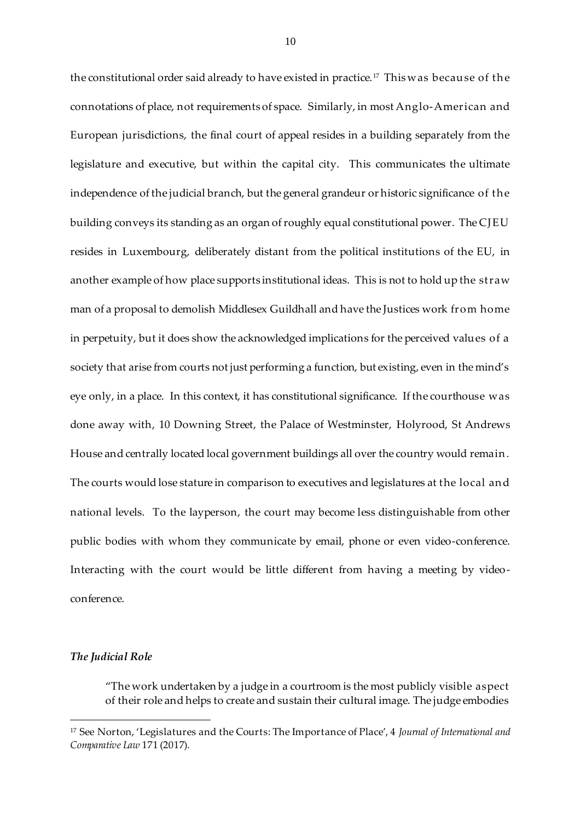the constitutional order said already to have existed in practice.<sup>17</sup> This was because of the connotations of place, not requirements of space. Similarly, in most Anglo-American and European jurisdictions, the final court of appeal resides in a building separately from the legislature and executive, but within the capital city. This communicates the ultimate independence of the judicial branch, but the general grandeur or historic significance of the building conveys its standing as an organ of roughly equal constitutional power. The CJEU resides in Luxembourg, deliberately distant from the political institutions of the EU, in another example of how place supports institutional ideas. This is not to hold up the straw man of a proposal to demolish Middlesex Guildhall and have the Justices work from home in perpetuity, but it does show the acknowledged implications for the perceived values of a society that arise from courts not just performing a function, but existing, even in the mind's eye only, in a place. In this context, it has constitutional significance. If the courthouse was done away with, 10 Downing Street, the Palace of Westminster, Holyrood, St Andrews House and centrally located local government buildings all over the country would remain. The courts would lose stature in comparison to executives and legislatures at the local an d national levels. To the layperson, the court may become less distinguishable from other public bodies with whom they communicate by email, phone or even video-conference. Interacting with the court would be little different from having a meeting by videoconference.

## *The Judicial Role*

 $\overline{a}$ 

"The work undertaken by a judge in a courtroom is the most publicly visible aspect of their role and helps to create and sustain their cultural image. The judge embodies

<sup>17</sup> See Norton, 'Legislatures and the Courts: The Importance of Place', 4 *Journal of International and Comparative Law* 171 (2017).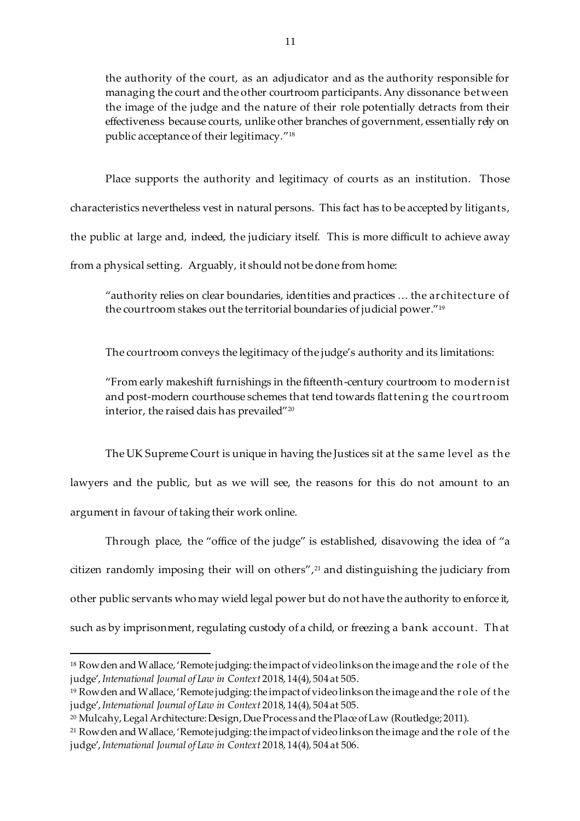the authority of the court, as an adjudicator and as the authority responsible for managing the court and the other courtroom participants. Any dissonance between the image of the judge and the nature of their role potentially detracts from their effectiveness because courts, unlike other branches of government, essentially rely on public acceptance of their legitimacy." 18

Place supports the authority and legitimacy of courts as an institution. Those characteristics nevertheless vest in natural persons. This fact has to be accepted by litigants, the public at large and, indeed, the judiciary itself. This is more difficult to achieve away from a physical setting. Arguably, it should not be done from home:

"authority relies on clear boundaries, identities and practices … the architecture of the courtroom stakes out the territorial boundaries of judicial power." 19

The courtroom conveys the legitimacy of the judge's authority and its limitations:

"From early makeshift furnishings in the fifteenth-century courtroom to modern ist and post-modern courthouse schemes that tend towards flattenin g the courtroom interior, the raised dais has prevailed"<sup>20</sup>

The UK Supreme Court is unique in having the Justices sit at the same level as the lawyers and the public, but as we will see, the reasons for this do not amount to an argument in favour of taking their work online.

Through place, the "office of the judge" is established, disavowing the idea of "a citizen randomly imposing their will on others",<sup>21</sup> and distinguishing the judiciary from other public servants who may wield legal power but do not have the authority to enforce it, such as by imprisonment, regulating custody of a child, or freezing a bank account. That

<sup>18</sup> Row den and Wallace, 'Remote judging: the impact of video links on the image and the role of the judge', *International Journal of Law in Context* 2018, 14(4), 504 at 505.

<sup>19</sup> Rowden and Wallace, 'Remote judging: the impact of video links on the image and the r ole of t he judge', *International Journal of Law in Context* 2018, 14(4), 504 at 505.

<sup>20</sup> Mulcahy, Legal Architecture: Design, Due Process and the Place of Law (Routledge; 2011).

<sup>21</sup> Rowden and Wallace, 'Remote judging: the impact of video links on the image and the r ole of t he judge', *International Journal of Law in Context* 2018, 14(4), 504 at 506.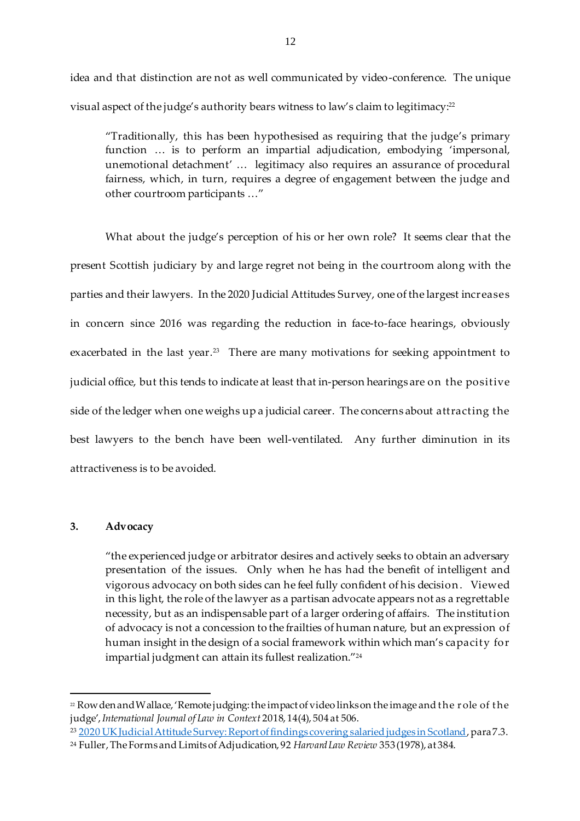idea and that distinction are not as well communicated by video-conference. The unique visual aspect of the judge's authority bears witness to law's claim to legitimacy: 22

"Traditionally, this has been hypothesised as requiring that the judge's primary function … is to perform an impartial adjudication, embodying 'impersonal, unemotional detachment' … legitimacy also requires an assurance of procedural fairness, which, in turn, requires a degree of engagement between the judge and other courtroom participants …"

What about the judge's perception of his or her own role? It seems clear that the present Scottish judiciary by and large regret not being in the courtroom along with the parties and their lawyers. In the 2020 Judicial Attitudes Survey, one of the largest increases in concern since 2016 was regarding the reduction in face-to-face hearings, obviously exacerbated in the last year. 23 There are many motivations for seeking appointment to judicial office, but this tends to indicate at least that in-person hearings are on the positive side of the ledger when one weighs up a judicial career. The concerns about attracting the best lawyers to the bench have been well-ventilated. Any further diminution in its attractiveness is to be avoided.

#### **3. Advocacy**

 $\overline{a}$ 

"the experienced judge or arbitrator desires and actively seeks to obtain an adversary presentation of the issues. Only when he has had the benefit of intelligent and vigorous advocacy on both sides can he feel fully confident of his decision . Viewed in this light, the role of the lawyer as a partisan advocate appears not as a regrettable necessity, but as an indispensable part of a larger ordering of affairs. The institution of advocacy is not a concession to the frailties of human nature, but an expression of human insight in the design of a social framework within which man's capacity for impartial judgment can attain its fullest realization." 24

<sup>23</sup> [2020 UK Judicial Attitude Survey: Report of findings covering salaried judges in Scotland](https://www.judiciary.scot/docs/librariesprovider3/judiciarydocuments/judiciary/scotland-judicial-attitude-survey-2020-publication-25-feb.pdf?sfvrsn=7e0823ca_2#:~:text=The%20Judicial%20Attitude%20Survey%20(JAS,salaried%20judges%20in%20the%20UK.&text=This%20report%20provides%20the%20findings,salaried%20judges%20in%20the%20UK4.), para 7.3.

<sup>&</sup>lt;sup>22</sup> Row den and Wallace, 'Remote judging: the impact of video links on the image and the role of the judge', *International Journal of Law in Context* 2018, 14(4), 504 at 506.

<sup>24</sup> Fuller, The Forms and Limits of Adjudication, 92 *Harvard Law Review* 353 (1978), at 384.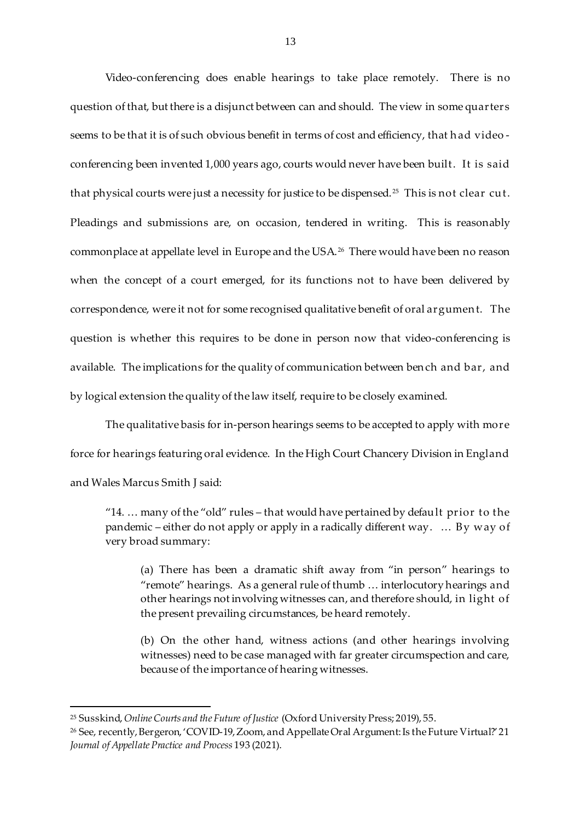Video-conferencing does enable hearings to take place remotely. There is no question of that, but there is a disjunct between can and should. The view in some quarters seems to be that it is of such obvious benefit in terms of cost and efficiency, that h ad video conferencing been invented 1,000 years ago, courts would never have been built. It is said that physical courts were just a necessity for justice to be dispensed. <sup>25</sup> This is not clear cut. Pleadings and submissions are, on occasion, tendered in writing. This is reasonably commonplace at appellate level in Europe and the USA. <sup>26</sup> There would have been no reason when the concept of a court emerged, for its functions not to have been delivered by correspondence, were it not for some recognised qualitative benefit of oral argumen t. The question is whether this requires to be done in person now that video-conferencing is available. The implications for the quality of communication between ben ch and bar, and by logical extension the quality of the law itself, require to be closely examined.

The qualitative basis for in-person hearings seems to be accepted to apply with more force for hearings featuring oral evidence. In the High Court Chancery Division in England and Wales Marcus Smith J said:

"14. … many of the "old" rules – that would have pertained by default prior to the pandemic – either do not apply or apply in a radically different way. … By way of very broad summary:

(a) There has been a dramatic shift away from "in person" hearings to "remote" hearings. As a general rule of thumb … interlocutory hearings and other hearings not involving witnesses can, and therefore should, in light of the present prevailing circumstances, be heard remotely.

(b) On the other hand, witness actions (and other hearings involving witnesses) need to be case managed with far greater circumspection and care, because of the importance of hearing witnesses.

l

<sup>25</sup> Susskind, *Online Courts and the Future of Justice* (Oxford University Press; 2019), 55.

<sup>26</sup> See, recently, Bergeron, 'COVID-19, Zoom, and Appellate Oral Argument: Is the Future Virtual?' 21 *Journal of Appellate Practice and Process* 193 (2021).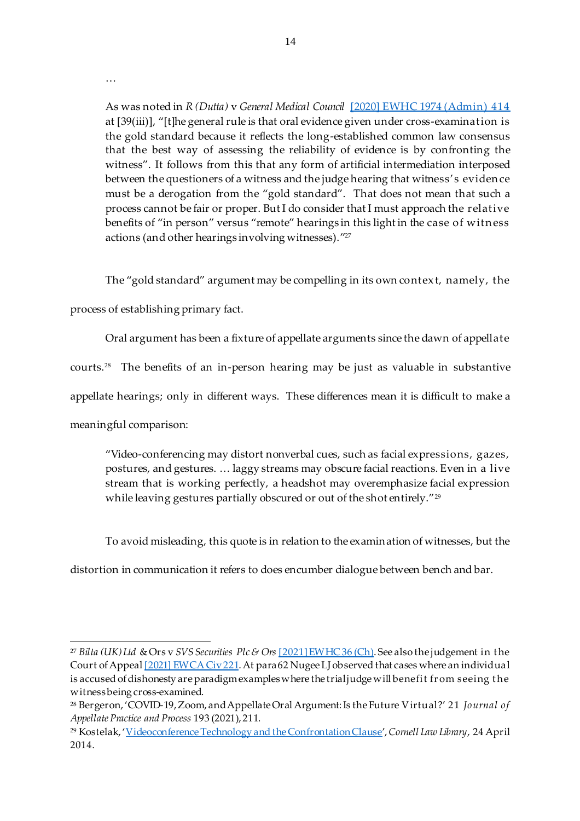…

As was noted in *R (Dutta)* v *General Medical Council* [\[2020\] EWHC 1974 \(Admin\) 414](https://www.bailii.org/ew/cases/EWHC/Admin/2020/1974.html) at [39(iii)], "[t]he general rule is that oral evidence given under cross-examination is the gold standard because it reflects the long-established common law consensus that the best way of assessing the reliability of evidence is by confronting the witness". It follows from this that any form of artificial intermediation interposed between the questioners of a witness and the judge hearing that witness's eviden ce must be a derogation from the "gold standard". That does not mean that such a process cannot be fair or proper. But I do consider that I must approach the relative benefits of "in person" versus "remote" hearings in this light in the case of witness actions (and other hearings involving witnesses)." 27

The "gold standard" argument may be compelling in its own contex t, namely, the

process of establishing primary fact.

Oral argument has been a fixture of appellate arguments since the dawn of appellate

courts.<sup>28</sup> The benefits of an in-person hearing may be just as valuable in substantive

appellate hearings; only in different ways. These differences mean it is difficult to make a

meaningful comparison:

 $\overline{a}$ 

"Video-conferencing may distort nonverbal cues, such as facial expressions, gazes, postures, and gestures. … laggy streams may obscure facial reactions. Even in a live stream that is working perfectly, a headshot may overemphasize facial expression while leaving gestures partially obscured or out of the shot entirely."<sup>29</sup>

To avoid misleading, this quote is in relation to the examination of witnesses, but the

distortion in communication it refers to does encumber dialogue between bench and bar.

<sup>27</sup> *Bilta (UK) Ltd* & Ors v *SVS Securities Plc & Ors* [\[2021\] EWHC 36 \(Ch\).](https://www.bailii.org/ew/cases/EWHC/Ch/2021/36.html) See also the judgement in t he Court of Appeal [2021] EWCA Civ 221</u>. At para 62 Nugee LJ observed that cases where an individual is accused of dishonesty are paradigm examples where the trial judge will benefit from seeing the witness being cross-examined.

<sup>28</sup> Bergeron, 'COVID-19, Zoom, and Appellate Oral Argument: Is the Future Virtual?' 21 *Journal of Appellate Practice and Process* 193 (2021), 211.

<sup>29</sup> Kostelak, '[Videoconference Technology and the Confrontation Clause](https://scholarship.law.cornell.edu/cgi/viewcontent.cgi?article=1049&context=lps_papers)', *Cornell Law Library*, 24 April 2014.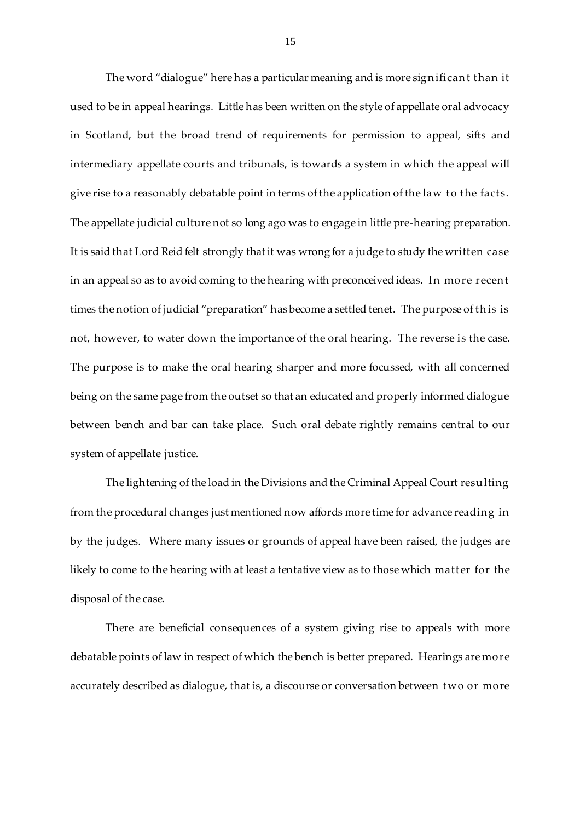The word "dialogue" here has a particular meaning and is more significant than it used to be in appeal hearings. Little has been written on the style of appellate oral advocacy in Scotland, but the broad trend of requirements for permission to appeal, sifts and intermediary appellate courts and tribunals, is towards a system in which the appeal will give rise to a reasonably debatable point in terms of the application of the law to the facts. The appellate judicial culture not so long ago was to engage in little pre-hearing preparation. It is said that Lord Reid felt strongly that it was wrong for a judge to study the written case in an appeal so as to avoid coming to the hearing with preconceived ideas. In more recen t times the notion of judicial "preparation" has become a settled tenet. The purpose of this is not, however, to water down the importance of the oral hearing. The reverse is the case. The purpose is to make the oral hearing sharper and more focussed, with all concerned being on the same page from the outset so that an educated and properly informed dialogue between bench and bar can take place. Such oral debate rightly remains central to our system of appellate justice.

The lightening of the load in the Divisions and the Criminal Appeal Court resulting from the procedural changes just mentioned now affords more time for advance readin g in by the judges. Where many issues or grounds of appeal have been raised, the judges are likely to come to the hearing with at least a tentative view as to those which matter for the disposal of the case.

There are beneficial consequences of a system giving rise to appeals with more debatable points of law in respect of which the bench is better prepared. Hearings are more accurately described as dialogue, that is, a discourse or conversation between two or more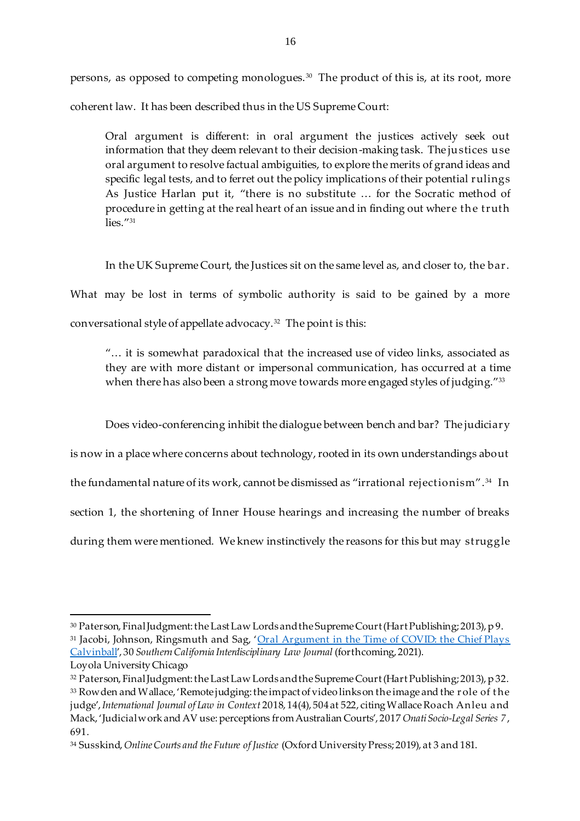persons, as opposed to competing monologues. <sup>30</sup> The product of this is, at its root, more coherent law. It has been described thus in the US Supreme Court:

Oral argument is different: in oral argument the justices actively seek out information that they deem relevant to their decision-making task. The justices use oral argument to resolve factual ambiguities, to explore the merits of grand ideas and specific legal tests, and to ferret out the policy implications of their potential rulings As Justice Harlan put it, "there is no substitute … for the Socratic method of procedure in getting at the real heart of an issue and in finding out where th e truth lies."<sup>31</sup>

In the UK Supreme Court, the Justices sit on the same level as, and closer to, the bar.

What may be lost in terms of symbolic authority is said to be gained by a more conversational style of appellate advocacy.<sup>32</sup> The point is this:

"… it is somewhat paradoxical that the increased use of video links, associated as they are with more distant or impersonal communication, has occurred at a time when there has also been a strong move towards more engaged styles of judging." $^{\rm 33}$ 

Does video-conferencing inhibit the dialogue between bench and bar? The judiciary

is now in a place where concerns about technology, rooted in its own understandings about

the fundamental nature of its work, cannot be dismissed as "irrational rejectionism". <sup>34</sup> In

section 1, the shortening of Inner House hearings and increasing the number of breaks

during them were mentioned. We knew instinctively the reasons for this but may struggle

l <sup>30</sup> Paterson, Final Judgment: the Last Law Lords and the Supreme Court (Hart Publishing; 2013), p 9.

<sup>31</sup> Jacobi, Johnson, Ringsmuth and Sag, '[Oral Argument in the Time of COVID: the Chief Plays](https://law-economic-studies.law.columbia.edu/sites/default/files/content/Jacobi%20-%20Oral%20Argument%20in%20COVID%20(rev%202020%2010%2012,%20for%202020%2010%2026%20Law%20&%20Economics%20Workshop).pdf)  [Calvinball](https://law-economic-studies.law.columbia.edu/sites/default/files/content/Jacobi%20-%20Oral%20Argument%20in%20COVID%20(rev%202020%2010%2012,%20for%202020%2010%2026%20Law%20&%20Economics%20Workshop).pdf)', 30 *Southern California Interdisciplinary Law Journal* (forthcoming, 2021). Loyola University Chicago

<sup>32</sup> Paterson, Final Judgment: the Last Law Lords and the Supreme Court (Hart Publishing; 2013), p 32. <sup>33</sup> Rowden and Wallace, 'Remote judging: the impact of video links on the image and the r ole of t he judge', *International Journal of Law in Context* 2018, 14(4), 504 at 522, citing Wallace Roach Anleu and Mack, 'Judicial work and AV use: perceptions from Australian Courts', 2017 *Onati Socio-Legal Series 7*, 691.

<sup>34</sup> Susskind, *Online Courts and the Future of Justice* (Oxford University Press; 2019), at 3 and 181.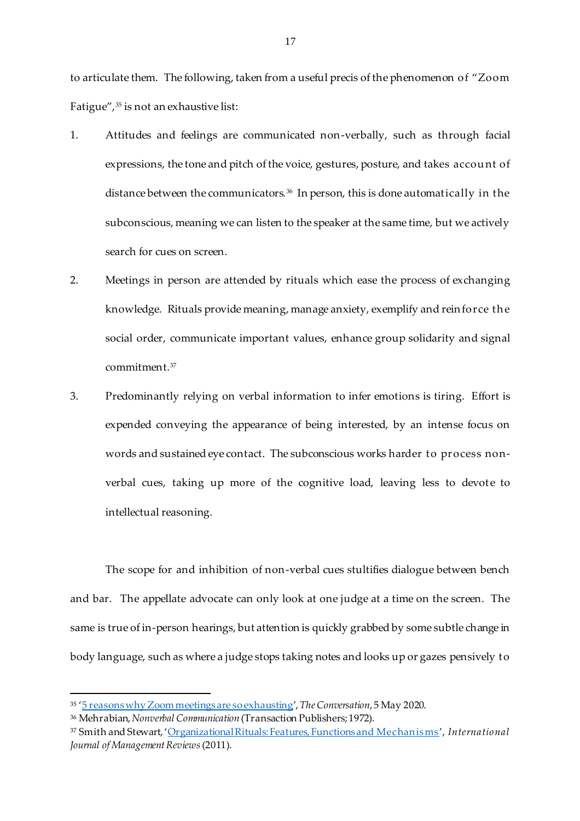to articulate them. The following, taken from a useful precis of the phenomenon of "Zoom Fatigue",<sup>35</sup> is not an exhaustive list:

- 1. Attitudes and feelings are communicated non-verbally, such as through facial expressions, the tone and pitch of the voice, gestures, posture, and takes account of distance between the communicators.<sup>36</sup> In person, this is done automatically in the subconscious, meaning we can listen to the speaker at the same time, but we actively search for cues on screen.
- 2. Meetings in person are attended by rituals which ease the process of exchanging knowledge. Rituals provide meaning, manage anxiety, exemplify and rein force th e social order, communicate important values, enhance group solidarity and signal commitment.<sup>37</sup>
- 3. Predominantly relying on verbal information to infer emotions is tiring. Effort is expended conveying the appearance of being interested, by an intense focus on words and sustained eye contact. The subconscious works harder to process nonverbal cues, taking up more of the cognitive load, leaving less to devote to intellectual reasoning.

The scope for and inhibition of non-verbal cues stultifies dialogue between bench and bar. The appellate advocate can only look at one judge at a time on the screen. The same is true of in-person hearings, but attention is quickly grabbed by some subtle change in body language, such as where a judge stops taking notes and looks up or gazes pensively to

<sup>35</sup> '[5 reasons why Zoom meetings are so exhausting](https://theconversation.com/5-reasons-why-zoom-meetings-are-so-exhausting-137404)', *The Conversation*, 5 May 2020.

<sup>36</sup> Mehrabian, *Nonverbal Communication* (Transaction Publishers; 1972).

<sup>37</sup> Smith and Stewart, '[Organizational Rituals: Features, Functions and Mechanisms](https://onlinelibrary.wiley.com/doi/epdf/10.1111/j.1468-2370.2010.00288.x)', *International Journal of Management Reviews*(2011).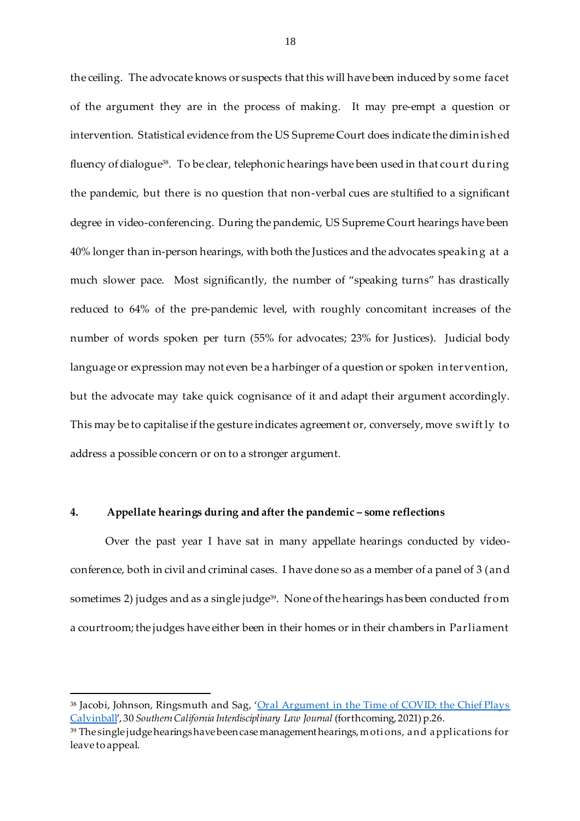the ceiling. The advocate knows or suspects that this will have been induced by some facet of the argument they are in the process of making. It may pre-empt a question or intervention. Statistical evidence from the US Supreme Court does indicate the dimin ish ed fluency of dialogue<sup>38</sup>. To be clear, telephonic hearings have been used in that court during the pandemic, but there is no question that non-verbal cues are stultified to a significant degree in video-conferencing. During the pandemic, US Supreme Court hearings have been 40% longer than in-person hearings, with both the Justices and the advocates speakin g at a much slower pace. Most significantly, the number of "speaking turns" has drastically reduced to 64% of the pre-pandemic level, with roughly concomitant increases of the number of words spoken per turn (55% for advocates; 23% for Justices). Judicial body language or expression may not even be a harbinger of a question or spoken in tervention, but the advocate may take quick cognisance of it and adapt their argument accordingly. This may be to capitalise if the gesture indicates agreement or, conversely, move swift ly to address a possible concern or on to a stronger argument.

#### **4. Appellate hearings during and after the pandemic – some reflections**

 $\overline{a}$ 

Over the past year I have sat in many appellate hearings conducted by videoconference, both in civil and criminal cases. I have done so as a member of a panel of 3 (an d sometimes 2) judges and as a single judge<sup>39</sup>. None of the hearings has been conducted from a courtroom; the judges have either been in their homes or in their chambers in Parliament

<sup>38</sup> Jacobi, Johnson, Ringsmuth and Sag, 'Oral Argument in the Time of COVID: the Chief Plays [Calvinball](https://law-economic-studies.law.columbia.edu/sites/default/files/content/Jacobi%20-%20Oral%20Argument%20in%20COVID%20(rev%202020%2010%2012,%20for%202020%2010%2026%20Law%20&%20Economics%20Workshop).pdf)', 30 *Southern California Interdisciplinary Law Journal* (forthcoming, 2021)p.26.

<sup>39</sup> The single judge hearings have been case management hearings, moti ons, and applications for leave to appeal.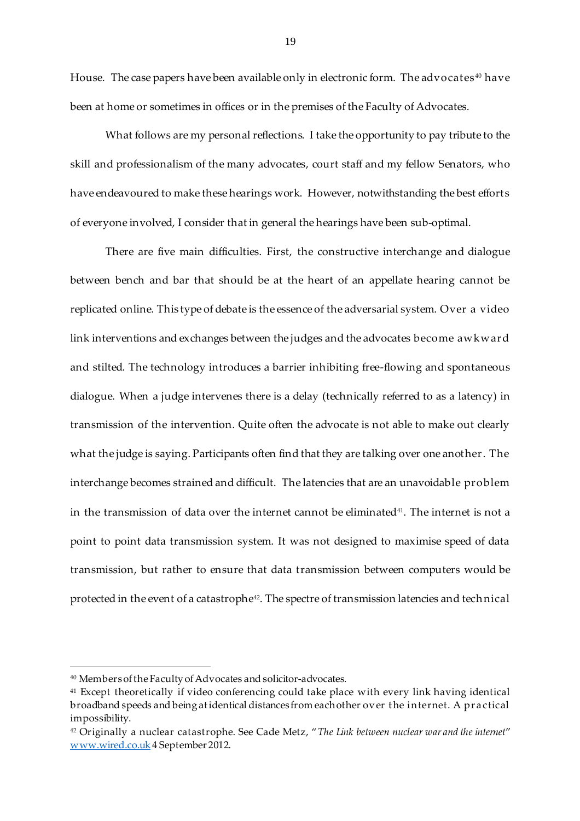House. The case papers have been available only in electronic form. The advocates<sup>40</sup> have been at home or sometimes in offices or in the premises of the Faculty of Advocates.

What follows are my personal reflections. I take the opportunity to pay tribute to the skill and professionalism of the many advocates, court staff and my fellow Senators, who have endeavoured to make these hearings work. However, notwithstanding the best efforts of everyone involved, I consider that in general the hearings have been sub-optimal.

There are five main difficulties. First, the constructive interchange and dialogue between bench and bar that should be at the heart of an appellate hearing cannot be replicated online. This type of debate is the essence of the adversarial system. Over a video link interventions and exchanges between the judges and the advocates become awkward and stilted. The technology introduces a barrier inhibiting free-flowing and spontaneous dialogue. When a judge intervenes there is a delay (technically referred to as a latency) in transmission of the intervention. Quite often the advocate is not able to make out clearly what the judge is saying. Participants often find that they are talking over one another. The interchange becomes strained and difficult. The latencies that are an unavoidable problem in the transmission of data over the internet cannot be eliminated $41$ . The internet is not a point to point data transmission system. It was not designed to maximise speed of data transmission, but rather to ensure that data transmission between computers would be protected in the event of a catastrophe<sup>42</sup>. The spectre of transmission latencies and technical

l

<sup>40</sup> Members of the Faculty of Advocates and solicitor-advocates.

<sup>41</sup> Except theoretically if video conferencing could take place with every link having identical broadband speeds and being at identical distances from each other ov er t he internet. A pr actical impossibility.

<sup>42</sup> Originally a nuclear catastrophe. See Cade Metz, "*The Link between nuclear war and the internet*" [www.wired.co.uk](http://www.wired.co.uk/) 4 September 2012.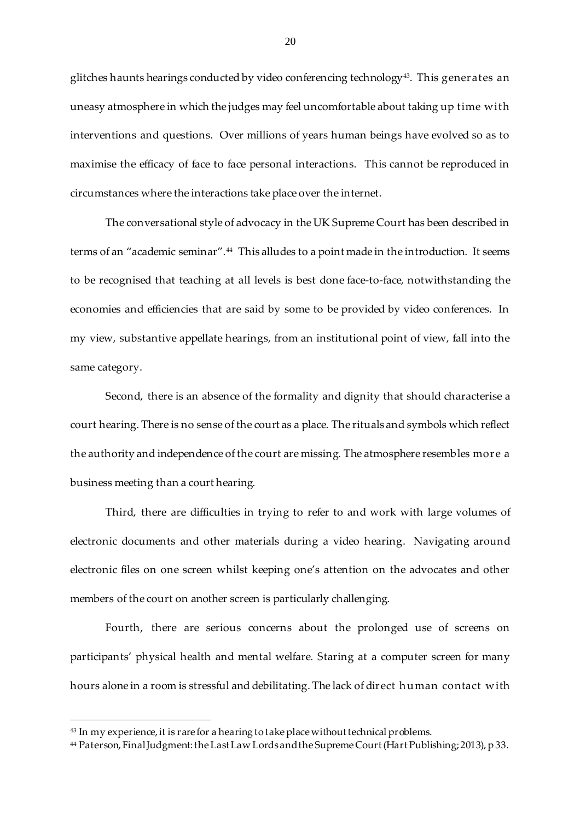glitches haunts hearings conducted by video conferencing technology43. This generates an uneasy atmosphere in which the judges may feel uncomfortable about taking up time with interventions and questions. Over millions of years human beings have evolved so as to maximise the efficacy of face to face personal interactions. This cannot be reproduced in circumstances where the interactions take place over the internet.

The conversational style of advocacy in the UK Supreme Court has been described in terms of an "academic seminar".44 This alludes to a point made in the introduction. It seems to be recognised that teaching at all levels is best done face-to-face, notwithstanding the economies and efficiencies that are said by some to be provided by video conferences. In my view, substantive appellate hearings, from an institutional point of view, fall into the same category.

Second, there is an absence of the formality and dignity that should characterise a court hearing. There is no sense of the court as a place. The rituals and symbols which reflect the authority and independence of the court are missing. The atmosphere resembles more a business meeting than a court hearing.

Third, there are difficulties in trying to refer to and work with large volumes of electronic documents and other materials during a video hearing. Navigating around electronic files on one screen whilst keeping one's attention on the advocates and other members of the court on another screen is particularly challenging.

Fourth, there are serious concerns about the prolonged use of screens on participants' physical health and mental welfare. Staring at a computer screen for many hours alone in a room is stressful and debilitating. The lack of direct h uman contact with

<sup>&</sup>lt;sup>43</sup> In my experience, it is rare for a hearing to take place without technical problems.

<sup>44</sup> Paterson, Final Judgment: the Last Law Lords and the Supreme Court (Hart Publishing; 2013), p 33.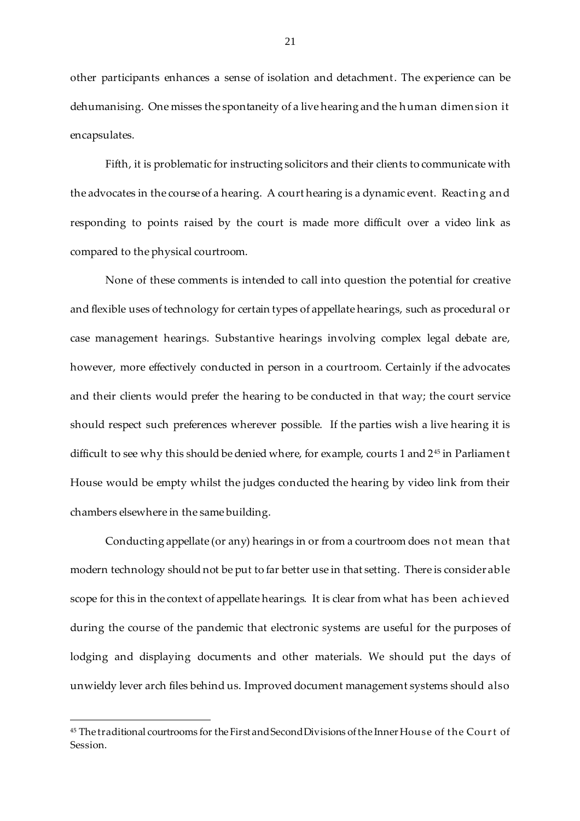other participants enhances a sense of isolation and detachment. The experience can be dehumanising. One misses the spontaneity of a live hearing and the h uman dimen sion it encapsulates.

Fifth, it is problematic for instructing solicitors and their clients to communicate with the advocates in the course of a hearing. A court hearing is a dynamic event. Reactin g an d responding to points raised by the court is made more difficult over a video link as compared to the physical courtroom.

None of these comments is intended to call into question the potential for creative and flexible uses of technology for certain types of appellate hearings, such as procedural or case management hearings. Substantive hearings involving complex legal debate are, however, more effectively conducted in person in a courtroom. Certainly if the advocates and their clients would prefer the hearing to be conducted in that way; the court service should respect such preferences wherever possible. If the parties wish a live hearing it is difficult to see why this should be denied where, for example, courts 1 and 2<sup>45</sup> in Parliamen t House would be empty whilst the judges conducted the hearing by video link from their chambers elsewhere in the same building.

Conducting appellate (or any) hearings in or from a courtroom does n ot mean that modern technology should not be put to far better use in that setting. There is considerable scope for this in the context of appellate hearings. It is clear from what has been ach ieved during the course of the pandemic that electronic systems are useful for the purposes of lodging and displaying documents and other materials. We should put the days of unwieldy lever arch files behind us. Improved document management systems should also

<sup>45</sup> The traditional courtrooms for the First and Second Divisions of the Inner House of t he Cour t of Session.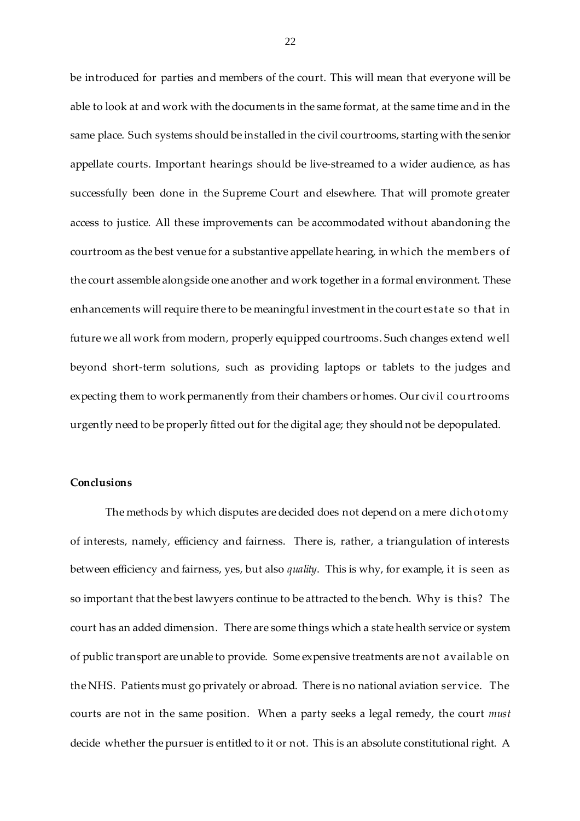be introduced for parties and members of the court. This will mean that everyone will be able to look at and work with the documents in the same format, at the same time and in the same place. Such systems should be installed in the civil courtrooms, starting with the senior appellate courts. Important hearings should be live-streamed to a wider audience, as has successfully been done in the Supreme Court and elsewhere. That will promote greater access to justice. All these improvements can be accommodated without abandoning the courtroom as the best venue for a substantive appellate hearing, in which the members of the court assemble alongside one another and work together in a formal environment. These enhancements will require there to be meaningful investment in the court estate so that in future we all work from modern, properly equipped courtrooms. Such changes extend well beyond short-term solutions, such as providing laptops or tablets to the judges and expecting them to work permanently from their chambers or homes. Our civil courtrooms urgently need to be properly fitted out for the digital age; they should not be depopulated.

# **Conclusions**

The methods by which disputes are decided does not depend on a mere dich otomy of interests, namely, efficiency and fairness. There is, rather, a triangulation of interests between efficiency and fairness, yes, but also *quality*. This is why, for example, it is seen as so important that the best lawyers continue to be attracted to the bench. Why is this? The court has an added dimension. There are some things which a state health service or system of public transport are unable to provide. Some expensive treatments are not available on the NHS. Patients must go privately or abroad. There is no national aviation service. The courts are not in the same position. When a party seeks a legal remedy, the court *must*  decide whether the pursuer is entitled to it or not. This is an absolute constitutional right. A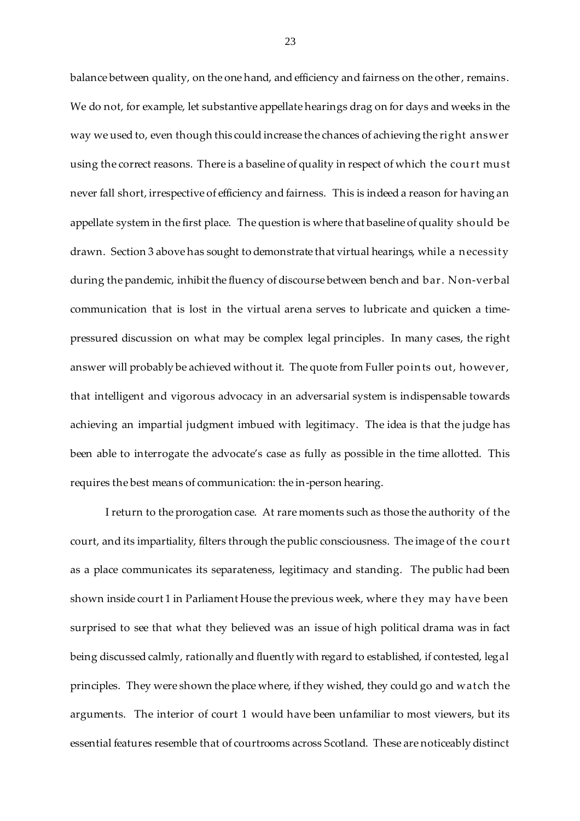balance between quality, on the one hand, and efficiency and fairness on the other, remains. We do not, for example, let substantive appellate hearings drag on for days and weeks in the way we used to, even though this could increase the chances of achieving the right answer using the correct reasons. There is a baseline of quality in respect of which the court must never fall short, irrespective of efficiency and fairness. This is indeed a reason for having an appellate system in the first place. The question is where that baseline of quality should be drawn. Section 3 above has sought to demonstrate that virtual hearings, while a n ecessity during the pandemic, inhibit the fluency of discourse between bench and bar. Non-verbal communication that is lost in the virtual arena serves to lubricate and quicken a timepressured discussion on what may be complex legal principles. In many cases, the right answer will probably be achieved without it. The quote from Fuller poin ts out, however, that intelligent and vigorous advocacy in an adversarial system is indispensable towards achieving an impartial judgment imbued with legitimacy. The idea is that the judge has been able to interrogate the advocate's case as fully as possible in the time allotted. This requires the best means of communication: the in-person hearing.

I return to the prorogation case. At rare moments such as those the authority of the court, and its impartiality, filters through the public consciousness. The image of the court as a place communicates its separateness, legitimacy and standing. The public had been shown inside court 1 in Parliament House the previous week, where th ey may have been surprised to see that what they believed was an issue of high political drama was in fact being discussed calmly, rationally and fluently with regard to established, if contested, legal principles. They were shown the place where, if they wished, they could go and watch the arguments. The interior of court 1 would have been unfamiliar to most viewers, but its essential features resemble that of courtrooms across Scotland. These are noticeably distinct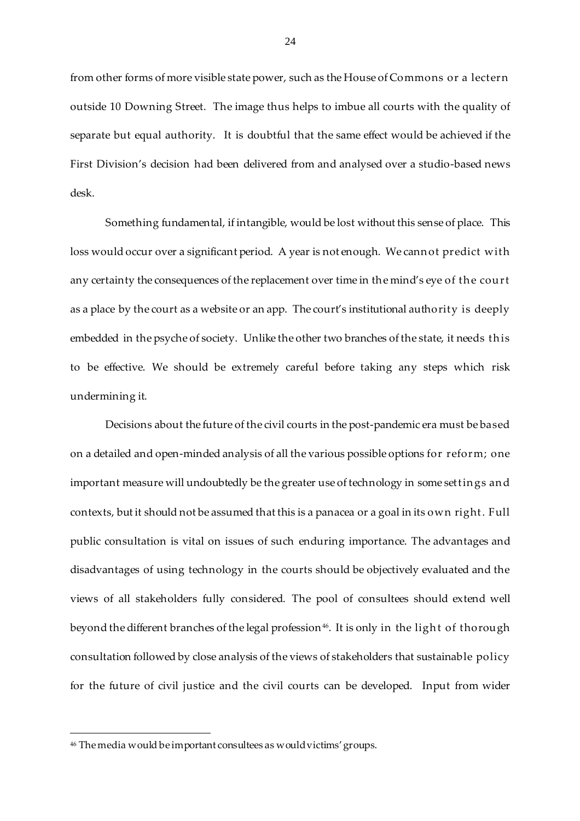from other forms of more visible state power, such as the House of Commons or a lectern outside 10 Downing Street. The image thus helps to imbue all courts with the quality of separate but equal authority. It is doubtful that the same effect would be achieved if the First Division's decision had been delivered from and analysed over a studio-based news desk.

Something fundamental, if intangible, would be lost without this sense of place. This loss would occur over a significant period. A year is not enough. We cann ot predict with any certainty the consequences of the replacement over time in the mind's eye of the court as a place by the court as a website or an app. The court's institutional authority is deeply embedded in the psyche of society. Unlike the other two branches of the state, it needs th is to be effective. We should be extremely careful before taking any steps which risk undermining it.

Decisions about the future of the civil courts in the post-pandemic era must be based on a detailed and open-minded analysis of all the various possible options for reform; one important measure will undoubtedly be the greater use of technology in some settin gs an d contexts, but it should not be assumed that this is a panacea or a goal in its own right. Full public consultation is vital on issues of such enduring importance. The advantages and disadvantages of using technology in the courts should be objectively evaluated and the views of all stakeholders fully considered. The pool of consultees should extend well beyond the different branches of the legal profession $^{46}$ . It is only in the light of thorough consultation followed by close analysis of the views of stakeholders that sustainable policy for the future of civil justice and the civil courts can be developed. Input from wider

<sup>46</sup> The media would be important consultees as would victims' groups.